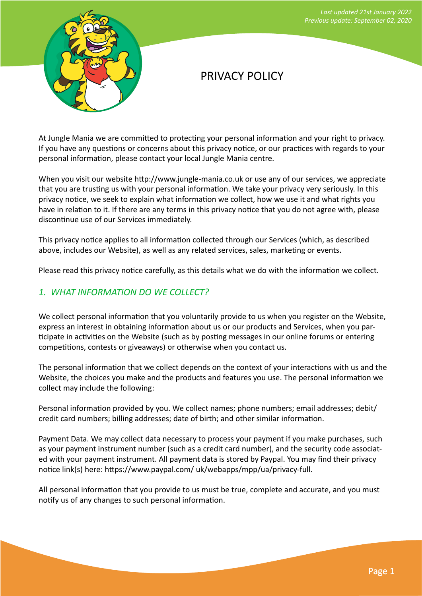

# PRIVACY POLICY

At Jungle Mania we are committed to protecting your personal information and your right to privacy. If you have any questions or concerns about this privacy notice, or our practices with regards to your personal information, please contact your local Jungle Mania centre.

When you visit our website http://www.jungle-mania.co.uk or use any of our services, we appreciate that you are trusting us with your personal information. We take your privacy very seriously. In this privacy notice, we seek to explain what information we collect, how we use it and what rights you have in relation to it. If there are any terms in this privacy notice that you do not agree with, please discontinue use of our Services immediately.

This privacy notice applies to all information collected through our Services (which, as described above, includes our Website), as well as any related services, sales, marketing or events.

Please read this privacy notice carefully, as this details what we do with the information we collect.

### *1. WHAT INFORMATION DO WE COLLECT?*

We collect personal information that you voluntarily provide to us when you register on the Website, express an interest in obtaining information about us or our products and Services, when you participate in activities on the Website (such as by posting messages in our online forums or entering competitions, contests or giveaways) or otherwise when you contact us.

The personal information that we collect depends on the context of your interactions with us and the Website, the choices you make and the products and features you use. The personal information we collect may include the following:

Personal information provided by you. We collect names; phone numbers; email addresses; debit/ credit card numbers; billing addresses; date of birth; and other similar information.

Payment Data. We may collect data necessary to process your payment if you make purchases, such as your payment instrument number (such as a credit card number), and the security code associated with your payment instrument. All payment data is stored by Paypal. You may find their privacy notice link(s) here: https://www.paypal.com/ uk/webapps/mpp/ua/privacy-full.

All personal information that you provide to us must be true, complete and accurate, and you must notify us of any changes to such personal information.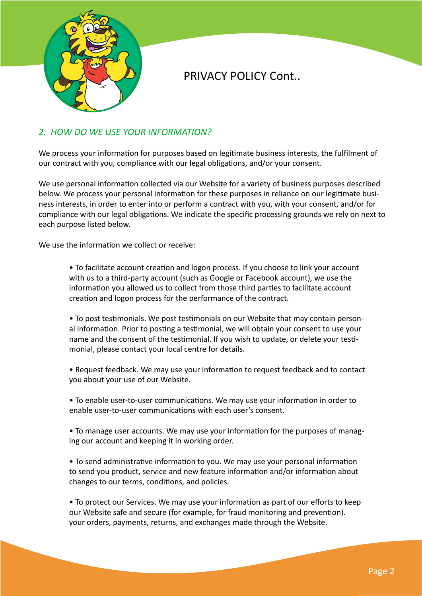

### *2. HOW DO WE USE YOUR INFORMATION?*

We process your information for purposes based on legitimate business interests, the fulfilment of our contract with you, compliance with our legal obligations, and/or your consent.

We use personal information collected via our Website for a variety of business purposes described below. We process your personal information for these purposes in reliance on our legitimate business interests, in order to enter into or perform a contract with you, with your consent, and/or for compliance with our legal obligations. We indicate the specific processing grounds we rely on next to each purpose listed below.

We use the information we collect or receive:

• To facilitate account creation and logon process. If you choose to link your account with us to a third-party account (such as Google or Facebook account), we use the information you allowed us to collect from those third parties to facilitate account creation and logon process for the performance of the contract.

• To post testimonials. We post testimonials on our Website that may contain personal information. Prior to posting a testimonial, we will obtain your consent to use your name and the consent of the testimonial. If you wish to update, or delete your testimonial, please contact your local centre for details.

• Request feedback. We may use your information to request feedback and to contact you about your use of our Website.

• To enable user-to-user communications. We may use your information in order to enable user-to-user communications with each user's consent.

• To manage user accounts. We may use your information for the purposes of managing our account and keeping it in working order.

• To send administrative information to you. We may use your personal information to send you product, service and new feature information and/or information about changes to our terms, conditions, and policies.

• To protect our Services. We may use your information as part of our efforts to keep our Website safe and secure (for example, for fraud monitoring and prevention). your orders, payments, returns, and exchanges made through the Website.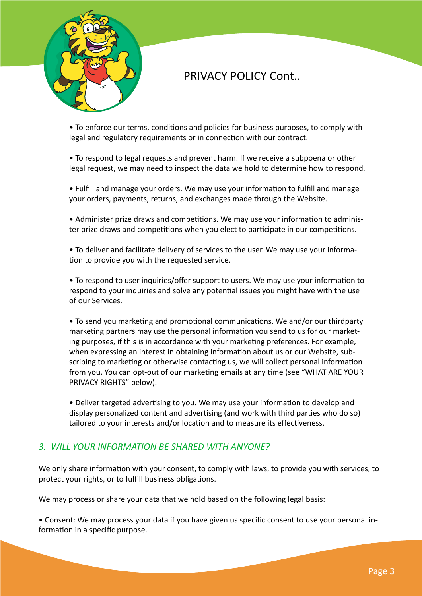

• To enforce our terms, conditions and policies for business purposes, to comply with legal and regulatory requirements or in connection with our contract.

• To respond to legal requests and prevent harm. If we receive a subpoena or other legal request, we may need to inspect the data we hold to determine how to respond.

• Fulfill and manage your orders. We may use your information to fulfill and manage your orders, payments, returns, and exchanges made through the Website.

• Administer prize draws and competitions. We may use your information to administer prize draws and competitions when you elect to participate in our competitions.

• To deliver and facilitate delivery of services to the user. We may use your information to provide you with the requested service.

• To respond to user inquiries/offer support to users. We may use your information to respond to your inquiries and solve any potential issues you might have with the use of our Services.

• To send you marketing and promotional communications. We and/or our thirdparty marketing partners may use the personal information you send to us for our marketing purposes, if this is in accordance with your marketing preferences. For example, when expressing an interest in obtaining information about us or our Website, subscribing to marketing or otherwise contacting us, we will collect personal information from you. You can opt-out of our marketing emails at any time (see "WHAT ARE YOUR PRIVACY RIGHTS" below).

• Deliver targeted advertising to you. We may use your information to develop and display personalized content and advertising (and work with third parties who do so) tailored to your interests and/or location and to measure its effectiveness.

#### *3. WILL YOUR INFORMATION BE SHARED WITH ANYONE?*

We only share information with your consent, to comply with laws, to provide you with services, to protect your rights, or to fulfill business obligations.

We may process or share your data that we hold based on the following legal basis:

• Consent: We may process your data if you have given us specific consent to use your personal information in a specific purpose.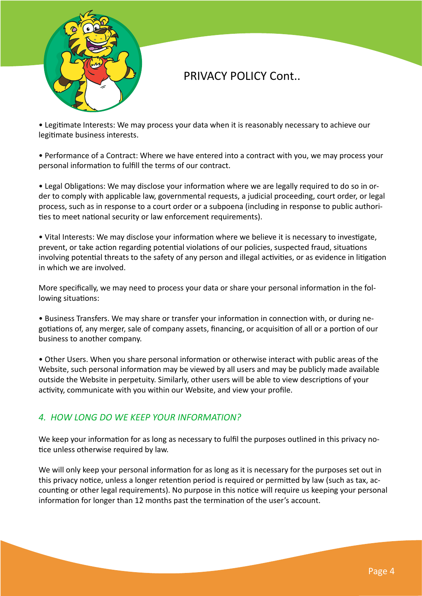

• Legitimate Interests: We may process your data when it is reasonably necessary to achieve our legitimate business interests.

• Performance of a Contract: Where we have entered into a contract with you, we may process your personal information to fulfill the terms of our contract.

• Legal Obligations: We may disclose your information where we are legally required to do so in order to comply with applicable law, governmental requests, a judicial proceeding, court order, or legal process, such as in response to a court order or a subpoena (including in response to public authorities to meet national security or law enforcement requirements).

• Vital Interests: We may disclose your information where we believe it is necessary to investigate, prevent, or take action regarding potential violations of our policies, suspected fraud, situations involving potential threats to the safety of any person and illegal activities, or as evidence in litigation in which we are involved.

More specifically, we may need to process your data or share your personal information in the following situations:

• Business Transfers. We may share or transfer your information in connection with, or during negotiations of, any merger, sale of company assets, financing, or acquisition of all or a portion of our business to another company.

• Other Users. When you share personal information or otherwise interact with public areas of the Website, such personal information may be viewed by all users and may be publicly made available outside the Website in perpetuity. Similarly, other users will be able to view descriptions of your activity, communicate with you within our Website, and view your profile.

## *4. HOW LONG DO WE KEEP YOUR INFORMATION?*

We keep your information for as long as necessary to fulfil the purposes outlined in this privacy notice unless otherwise required by law.

We will only keep your personal information for as long as it is necessary for the purposes set out in this privacy notice, unless a longer retention period is required or permitted by law (such as tax, accounting or other legal requirements). No purpose in this notice will require us keeping your personal information for longer than 12 months past the termination of the user's account.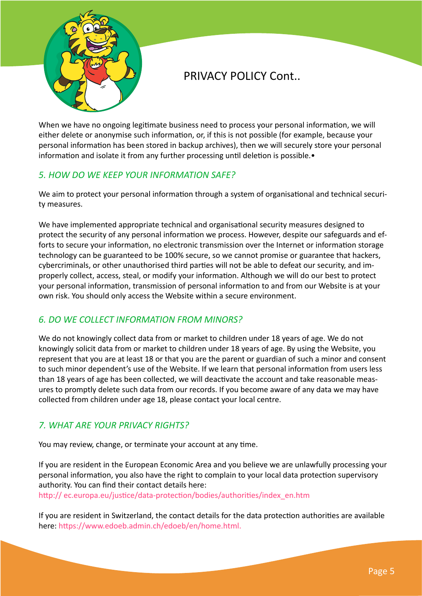

When we have no ongoing legitimate business need to process your personal information, we will either delete or anonymise such information, or, if this is not possible (for example, because your personal information has been stored in backup archives), then we will securely store your personal information and isolate it from any further processing until deletion is possible.•

## *5. HOW DO WE KEEP YOUR INFORMATION SAFE?*

We aim to protect your personal information through a system of organisational and technical security measures.

We have implemented appropriate technical and organisational security measures designed to protect the security of any personal information we process. However, despite our safeguards and efforts to secure your information, no electronic transmission over the Internet or information storage technology can be guaranteed to be 100% secure, so we cannot promise or guarantee that hackers, cybercriminals, or other unauthorised third parties will not be able to defeat our security, and improperly collect, access, steal, or modify your information. Although we will do our best to protect your personal information, transmission of personal information to and from our Website is at your own risk. You should only access the Website within a secure environment.

## *6. DO WE COLLECT INFORMATION FROM MINORS?*

We do not knowingly collect data from or market to children under 18 years of age. We do not knowingly solicit data from or market to children under 18 years of age. By using the Website, you represent that you are at least 18 or that you are the parent or guardian of such a minor and consent to such minor dependent's use of the Website. If we learn that personal information from users less than 18 years of age has been collected, we will deactivate the account and take reasonable measures to promptly delete such data from our records. If you become aware of any data we may have collected from children under age 18, please contact your local centre.

### *7. WHAT ARE YOUR PRIVACY RIGHTS?*

You may review, change, or terminate your account at any time.

If you are resident in the European Economic Area and you believe we are unlawfully processing your personal information, you also have the right to complain to your local data protection supervisory authority. You can find their contact details here:

[http:// ec.europa.eu/justice/data-protection/bodies/authorities/index\\_en.htm](http://%20ec.europa.eu/justice/data-protection/bodies/authorities/index_en.htm%20)

If you are resident in Switzerland, the contact details for the data protection authorities are available here: [https://www.edoeb.admin.ch/edoeb/en/home.html.](https://www.edoeb.admin.ch/edoeb/en/home.html.%20)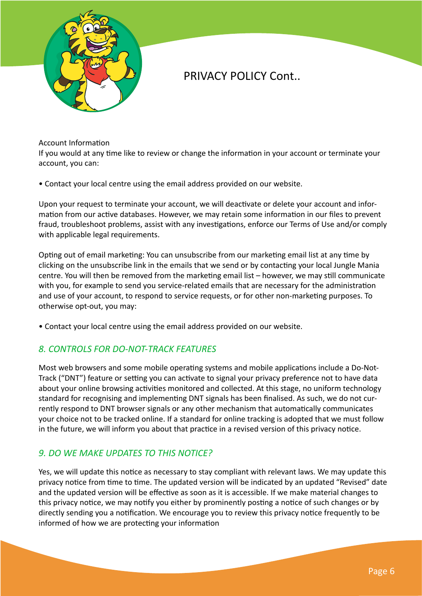

Account Information

If you would at any time like to review or change the information in your account or terminate your account, you can:

• Contact your local centre using the email address provided on our website.

Upon your request to terminate your account, we will deactivate or delete your account and information from our active databases. However, we may retain some information in our files to prevent fraud, troubleshoot problems, assist with any investigations, enforce our Terms of Use and/or comply with applicable legal requirements.

Opting out of email marketing: You can unsubscribe from our marketing email list at any time by clicking on the unsubscribe link in the emails that we send or by contacting your local Jungle Mania centre. You will then be removed from the marketing email list – however, we may still communicate with you, for example to send you service-related emails that are necessary for the administration and use of your account, to respond to service requests, or for other non-marketing purposes. To otherwise opt-out, you may:

• Contact your local centre using the email address provided on our website.

#### *8. CONTROLS FOR DO-NOT-TRACK FEATURES*

Most web browsers and some mobile operating systems and mobile applications include a Do-Not-Track ("DNT") feature or setting you can activate to signal your privacy preference not to have data about your online browsing activities monitored and collected. At this stage, no uniform technology standard for recognising and implementing DNT signals has been finalised. As such, we do not currently respond to DNT browser signals or any other mechanism that automatically communicates your choice not to be tracked online. If a standard for online tracking is adopted that we must follow in the future, we will inform you about that practice in a revised version of this privacy notice.

### *9. DO WE MAKE UPDATES TO THIS NOTICE?*

Yes, we will update this notice as necessary to stay compliant with relevant laws. We may update this privacy notice from time to time. The updated version will be indicated by an updated "Revised" date and the updated version will be effective as soon as it is accessible. If we make material changes to this privacy notice, we may notify you either by prominently posting a notice of such changes or by directly sending you a notification. We encourage you to review this privacy notice frequently to be informed of how we are protecting your information